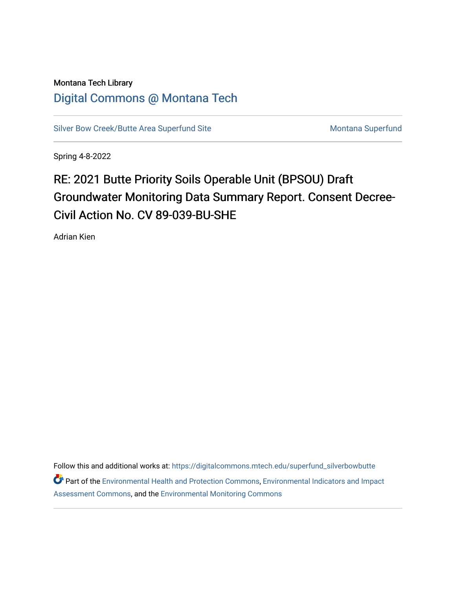### Montana Tech Library [Digital Commons @ Montana Tech](https://digitalcommons.mtech.edu/)

[Silver Bow Creek/Butte Area Superfund Site](https://digitalcommons.mtech.edu/superfund_silverbowbutte) Montana Superfund

Spring 4-8-2022

# RE: 2021 Butte Priority Soils Operable Unit (BPSOU) Draft Groundwater Monitoring Data Summary Report. Consent Decree-Civil Action No. CV 89-039-BU-SHE

Adrian Kien

Follow this and additional works at: [https://digitalcommons.mtech.edu/superfund\\_silverbowbutte](https://digitalcommons.mtech.edu/superfund_silverbowbutte?utm_source=digitalcommons.mtech.edu%2Fsuperfund_silverbowbutte%2F224&utm_medium=PDF&utm_campaign=PDFCoverPages) Part of the [Environmental Health and Protection Commons,](http://network.bepress.com/hgg/discipline/172?utm_source=digitalcommons.mtech.edu%2Fsuperfund_silverbowbutte%2F224&utm_medium=PDF&utm_campaign=PDFCoverPages) [Environmental Indicators and Impact](http://network.bepress.com/hgg/discipline/1015?utm_source=digitalcommons.mtech.edu%2Fsuperfund_silverbowbutte%2F224&utm_medium=PDF&utm_campaign=PDFCoverPages) [Assessment Commons,](http://network.bepress.com/hgg/discipline/1015?utm_source=digitalcommons.mtech.edu%2Fsuperfund_silverbowbutte%2F224&utm_medium=PDF&utm_campaign=PDFCoverPages) and the [Environmental Monitoring Commons](http://network.bepress.com/hgg/discipline/931?utm_source=digitalcommons.mtech.edu%2Fsuperfund_silverbowbutte%2F224&utm_medium=PDF&utm_campaign=PDFCoverPages)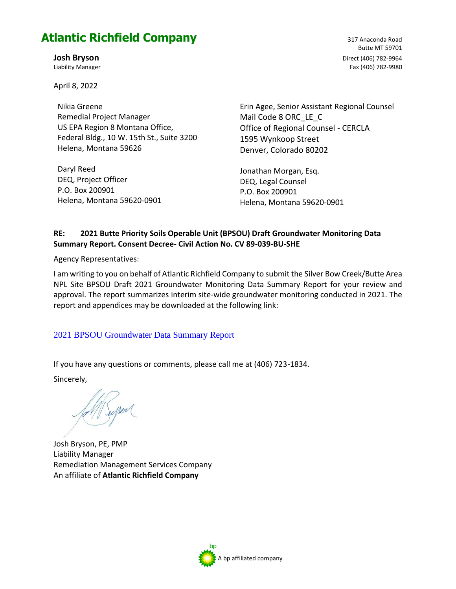# **Atlantic Richfield Company**

April 8, 2022

Nikia Greene Remedial Project Manager US EPA Region 8 Montana Office, Federal Bldg., 10 W. 15th St., Suite 3200 Helena, Montana 59626

Daryl Reed DEQ, Project Officer P.O. Box 200901 Helena, Montana 59620-0901 Erin Agee, Senior Assistant Regional Counsel Mail Code 8 ORC\_LE\_C Office of Regional Counsel - CERCLA 1595 Wynkoop Street Denver, Colorado 80202

Jonathan Morgan, Esq. DEQ, Legal Counsel P.O. Box 200901 Helena, Montana 59620-0901

#### **RE: 2021 Butte Priority Soils Operable Unit (BPSOU) Draft Groundwater Monitoring Data Summary Report. Consent Decree- Civil Action No. CV 89-039-BU-SHE**

Agency Representatives:

I am writing to you on behalf of Atlantic Richfield Company to submit the Silver Bow Creek/Butte Area NPL Site BPSOU Draft 2021 Groundwater Monitoring Data Summary Report for your review and approval. The report summarizes interim site-wide groundwater monitoring conducted in 2021. The report and appendices may be downloaded at the following link:

[2021 BPSOU Groundwater Data Summary Report](https://woodardcurran-my.sharepoint.com/:f:/p/kvose/EpMy8CGshx5Kqz_tNhgjQQgB295ZrpGNetNCEPHnlrG01w?e=D3905w)

If you have any questions or comments, please call me at (406) 723-1834.

Sincerely,

Josh Bryson, PE, PMP Liability Manager Remediation Management Services Company An affiliate of **Atlantic Richfield Company**



317 Anaconda Road Butte MT 59701 **Josh Bryson** Direct (406) 782-9964 Liability Manager **Fax (406)** 782-9980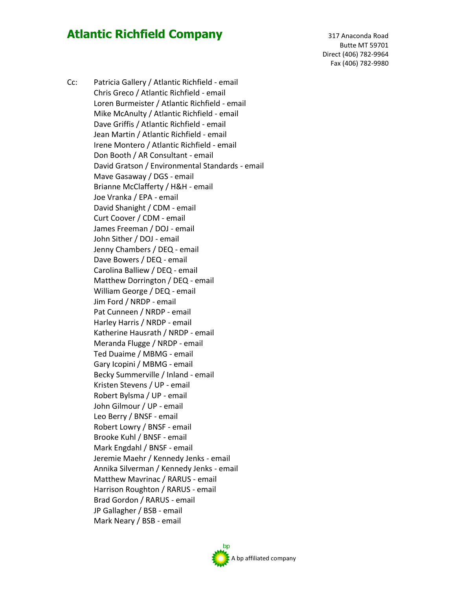# **Atlantic Richfield Company** 317 Anaconda Road

Butte MT 59701 Direct (406) 782-9964 Fax (406) 782-9980

Cc: Patricia Gallery / Atlantic Richfield - email Chris Greco / Atlantic Richfield - email Loren Burmeister / Atlantic Richfield - email Mike McAnulty / Atlantic Richfield - email Dave Griffis / Atlantic Richfield - email Jean Martin / Atlantic Richfield - email Irene Montero / Atlantic Richfield - email Don Booth / AR Consultant - email David Gratson / Environmental Standards - email Mave Gasaway / DGS - email Brianne McClafferty / H&H - email Joe Vranka / EPA - email David Shanight / CDM - email Curt Coover / CDM - email James Freeman / DOJ - email John Sither / DOJ - email Jenny Chambers / DEQ - email Dave Bowers / DEQ - email Carolina Balliew / DEQ - email Matthew Dorrington / DEQ - email William George / DEQ - email Jim Ford / NRDP - email Pat Cunneen / NRDP - email Harley Harris / NRDP - email Katherine Hausrath / NRDP - email Meranda Flugge / NRDP - email Ted Duaime / MBMG - email Gary Icopini / MBMG - email Becky Summerville / Inland - email Kristen Stevens / UP - email Robert Bylsma / UP - email John Gilmour / UP - email Leo Berry / BNSF - email Robert Lowry / BNSF - email Brooke Kuhl / BNSF - email Mark Engdahl / BNSF - email Jeremie Maehr / Kennedy Jenks - email Annika Silverman / Kennedy Jenks - email Matthew Mavrinac / RARUS - email Harrison Roughton / RARUS - email Brad Gordon / RARUS - email JP Gallagher / BSB - email Mark Neary / BSB - email